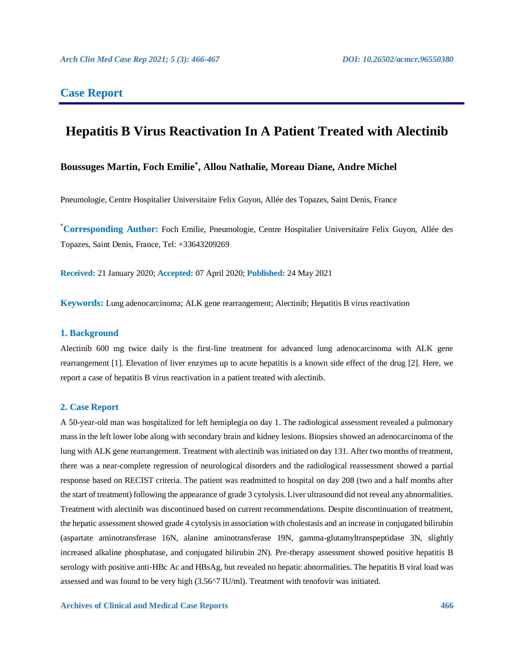# **Case Report**

# **Hepatitis B Virus Reactivation In A Patient Treated with Alectinib**

# **Boussuges Martin, Foch Emilie\* , Allou Nathalie, Moreau Diane, Andre Michel**

Pneumologie, Centre Hospitalier Universitaire Felix Guyon, Allée des Topazes, Saint Denis, France

**\*Corresponding Author:** Foch Emilie, Pneumologie, Centre Hospitalier Universitaire Felix Guyon, Allée des Topazes, Saint Denis, France, Tel: +33643209269

**Received:** 21 January 2020; **Accepted:** 07 April 2020; **Published:** 24 May 2021

**Keywords:** Lung adenocarcinoma; ALK gene rearrangement; Alectinib; Hepatitis B virus reactivation

#### **1. Background**

Alectinib 600 mg twice daily is the first-line treatment for advanced lung adenocarcinoma with ALK gene rearrangement [1]. Elevation of liver enzymes up to acute hepatitis is a known side effect of the drug [2]. Here, we report a case of hepatitis B virus reactivation in a patient treated with alectinib.

#### **2. Case Report**

A 50-year-old man was hospitalized for left hemiplegia on day 1. The radiological assessment revealed a pulmonary mass in the left lower lobe along with secondary brain and kidney lesions. Biopsies showed an adenocarcinoma of the lung with ALK gene rearrangement. Treatment with alectinib was initiated on day 131. After two months of treatment, there was a near-complete regression of neurological disorders and the radiological reassessment showed a partial response based on RECIST criteria. The patient was readmitted to hospital on day 208 (two and a half months after the start of treatment) following the appearance of grade 3 cytolysis. Liver ultrasound did not reveal any abnormalities. Treatment with alectinib was discontinued based on current recommendations. Despite discontinuation of treatment, the hepatic assessment showed grade 4 cytolysis in association with cholestasis and an increase in conjugated bilirubin (aspartate aminotransferase 16N, alanine aminotransferase 19N, gamma-glutamyltranspeptidase 3N, slightly increased alkaline phosphatase, and conjugated bilirubin 2N). Pre-therapy assessment showed positive hepatitis B serology with positive anti-HBc Ac and HBsAg, but revealed no hepatic abnormalities. The hepatitis B viral load was assessed and was found to be very high (3.56^7 IU/ml). Treatment with tenofovir was initiated.

**Archives of Clinical and Medical Case Reports 466**